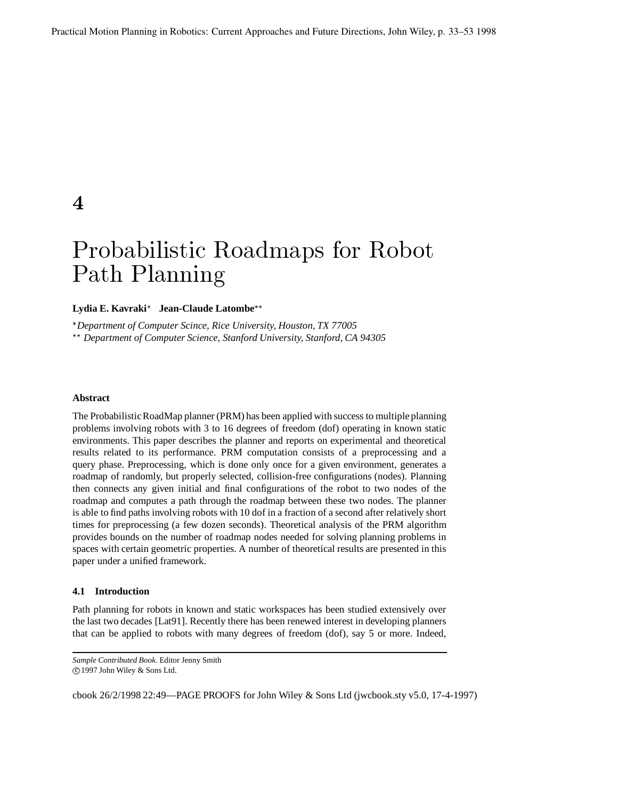$\boldsymbol{\varLambda}$ 

# -  -

# **Lydia E. Kavraki Jean-Claude Latombe** !

*Department of Computer Scince, Rice University, Houston, TX 77005*

! *Department of Computer Science, Stanford University, Stanford, CA 94305*

# **Abstract**

The Probabilistic RoadMap planner (PRM) has been applied with success to multiple planning problems involving robots with 3 to 16 degrees of freedom (dof) operating in known static environments. This paper describes the planner and reports on experimental and theoretical results related to its performance. PRM computation consists of a preprocessing and a query phase. Preprocessing, which is done only once for a given environment, generates a roadmap of randomly, but properly selected, collision-free configurations (nodes). Planning then connects any given initial and final configurations of the robot to two nodes of the roadmap and computes a path through the roadmap between these two nodes. The planner is able to find paths involving robots with 10 dof in a fraction of a second after relatively short times for preprocessing (a few dozen seconds). Theoretical analysis of the PRM algorithm provides bounds on the number of roadmap nodes needed for solving planning problems in spaces with certain geometric properties. A number of theoretical results are presented in this paper under a unified framework.

# **4.1 Introduction**

Path planning for robots in known and static workspaces has been studied extensively over the last two decades [Lat91]. Recently there has been renewed interest in developing planners that can be applied to robots with many degrees of freedom (dof), say 5 or more. Indeed,

*Sample Contributed Book*. Editor Jenny Smith

c" 1997 John Wiley & Sons Ltd.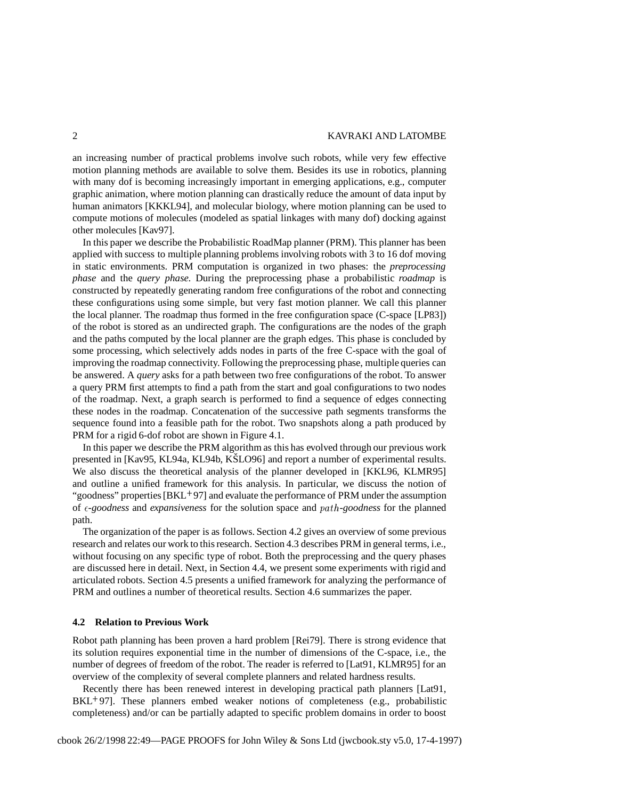an increasing number of practical problems involve such robots, while very few effective motion planning methods are available to solve them. Besides its use in robotics, planning with many dof is becoming increasingly important in emerging applications, e.g., computer graphic animation, where motion planning can drastically reduce the amount of data input by human animators [KKKL94], and molecular biology, where motion planning can be used to compute motions of molecules (modeled as spatial linkages with many dof) docking against other molecules [Kav97].

In this paper we describe the Probabilistic RoadMap planner (PRM). This planner has been applied with success to multiple planning problems involving robots with 3 to 16 dof moving in static environments. PRM computation is organized in two phases: the *preprocessing phase* and the *query phase*. During the preprocessing phase a probabilistic *roadmap* is constructed by repeatedly generating random free configurations of the robot and connecting these configurations using some simple, but very fast motion planner. We call this planner the local planner. The roadmap thus formed in the free configuration space (C-space [LP83]) of the robot is stored as an undirected graph. The configurations are the nodes of the graph and the paths computed by the local planner are the graph edges. This phase is concluded by some processing, which selectively adds nodes in parts of the free C-space with the goal of improving the roadmap connectivity. Following the preprocessing phase, multiple queries can be answered. A *query* asks for a path between two free configurations of the robot. To answer a query PRM first attempts to find a path from the start and goal configurations to two nodes of the roadmap. Next, a graph search is performed to find a sequence of edges connecting these nodes in the roadmap. Concatenation of the successive path segments transforms the sequence found into a feasible path for the robot. Two snapshots along a path produced by PRM for a rigid 6-dof robot are shown in Figure 4.1.

In this paper we describe the PRM algorithm as this has evolved through our previous work presented in [Kav95, KL94a, KL94b, KŠLO96] and report a number of experimental results. We also discuss the theoretical analysis of the planner developed in [KKL96, KLMR95] and outline a unified framework for this analysis. In particular, we discuss the notion of "goodness" properties [BKL<sup>+</sup>97] and evaluate the performance of PRM under the assumption of *-goodness* and *expansiveness* for the solution space and -*-goodness* for the planned path.

The organization of the paper is as follows. Section 4.2 gives an overview of some previous research and relates our work to this research. Section 4.3 describes PRM in general terms, i.e., without focusing on any specific type of robot. Both the preprocessing and the query phases are discussed here in detail. Next, in Section 4.4, we present some experiments with rigid and articulated robots. Section 4.5 presents a unified framework for analyzing the performance of PRM and outlines a number of theoretical results. Section 4.6 summarizes the paper.

# **4.2 Relation to Previous Work**

Robot path planning has been proven a hard problem [Rei79]. There is strong evidence that its solution requires exponential time in the number of dimensions of the C-space, i.e., the number of degrees of freedom of the robot. The reader is referred to [Lat91, KLMR95] for an overview of the complexity of several complete planners and related hardness results.

Recently there has been renewed interest in developing practical path planners [Lat91, BKL 97]. These planners embed weaker notions of completeness (e.g., probabilistic completeness) and/or can be partially adapted to specific problem domains in order to boost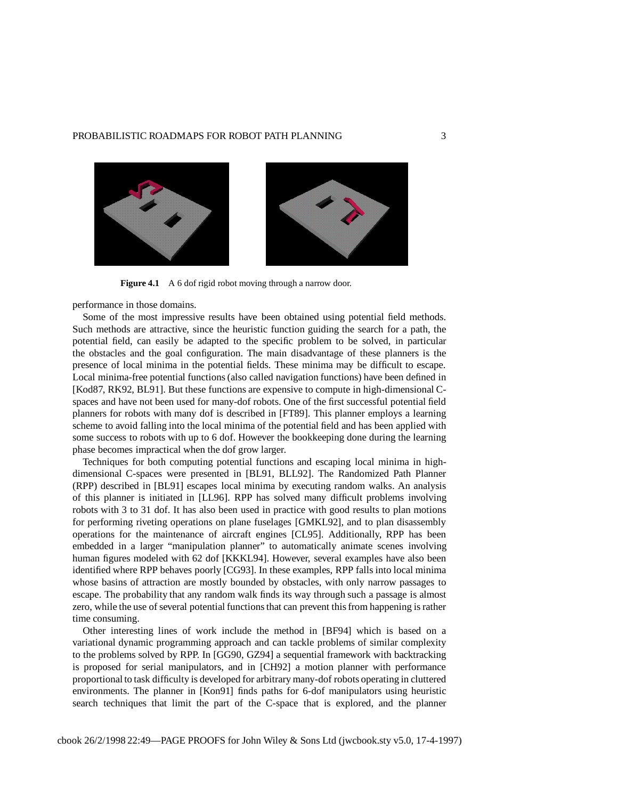## PROBABILISTIC ROADMAPS FOR ROBOT PATH PLANNING 3



**Figure 4.1** A 6 dof rigid robot moving through a narrow door.

performance in those domains.

Some of the most impressive results have been obtained using potential field methods. Such methods are attractive, since the heuristic function guiding the search for a path, the potential field, can easily be adapted to the specific problem to be solved, in particular the obstacles and the goal configuration. The main disadvantage of these planners is the presence of local minima in the potential fields. These minima may be difficult to escape. Local minima-free potential functions (also called navigation functions) have been defined in [Kod87, RK92, BL91]. But these functions are expensive to compute in high-dimensional Cspaces and have not been used for many-dof robots. One of the first successful potential field planners for robots with many dof is described in [FT89]. This planner employs a learning scheme to avoid falling into the local minima of the potential field and has been applied with some success to robots with up to 6 dof. However the bookkeeping done during the learning phase becomes impractical when the dof grow larger.

Techniques for both computing potential functions and escaping local minima in highdimensional C-spaces were presented in [BL91, BLL92]. The Randomized Path Planner (RPP) described in [BL91] escapes local minima by executing random walks. An analysis of this planner is initiated in [LL96]. RPP has solved many difficult problems involving robots with 3 to 31 dof. It has also been used in practice with good results to plan motions for performing riveting operations on plane fuselages [GMKL92], and to plan disassembly operations for the maintenance of aircraft engines [CL95]. Additionally, RPP has been embedded in a larger "manipulation planner" to automatically animate scenes involving human figures modeled with 62 dof [KKKL94]. However, several examples have also been identified where RPP behaves poorly [CG93]. In these examples, RPP falls into local minima whose basins of attraction are mostly bounded by obstacles, with only narrow passages to escape. The probability that any random walk finds its way through such a passage is almost zero, while the use of several potential functionsthat can prevent thisfrom happening is rather time consuming.

Other interesting lines of work include the method in [BF94] which is based on a variational dynamic programming approach and can tackle problems of similar complexity to the problems solved by RPP. In [GG90, GZ94] a sequential framework with backtracking is proposed for serial manipulators, and in [CH92] a motion planner with performance proportional to task difficulty is developed for arbitrary many-dof robots operating in cluttered environments. The planner in [Kon91] finds paths for 6-dof manipulators using heuristic search techniques that limit the part of the C-space that is explored, and the planner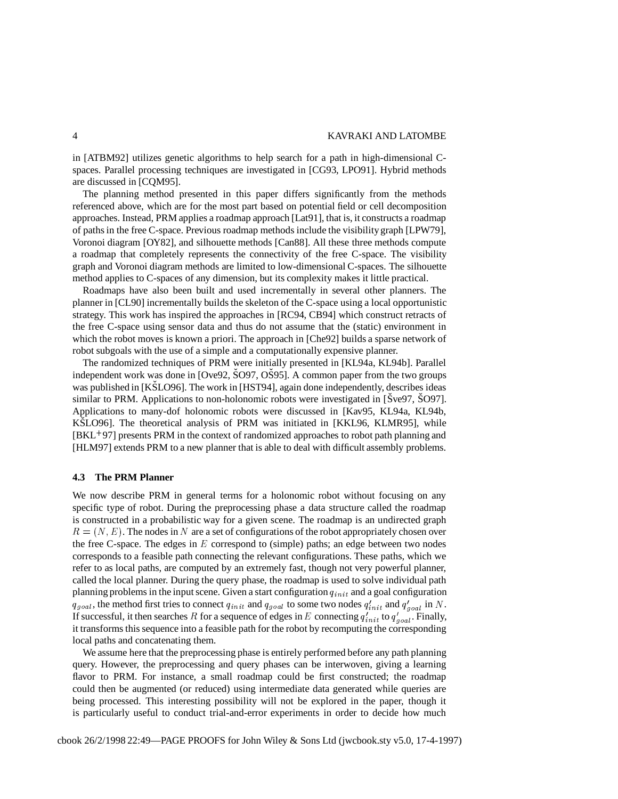in [ATBM92] utilizes genetic algorithms to help search for a path in high-dimensional Cspaces. Parallel processing techniques are investigated in [CG93, LPO91]. Hybrid methods are discussed in [CQM95].

The planning method presented in this paper differs significantly from the methods referenced above, which are for the most part based on potential field or cell decomposition approaches. Instead, PRM applies a roadmap approach [Lat91], that is, it constructs a roadmap of paths in the free C-space. Previous roadmap methods include the visibilitygraph [LPW79], Voronoi diagram [OY82], and silhouette methods [Can88]. All these three methods compute a roadmap that completely represents the connectivity of the free C-space. The visibility graph and Voronoi diagram methods are limited to low-dimensional C-spaces. The silhouette method applies to C-spaces of any dimension, but its complexity makes it little practical.

Roadmaps have also been built and used incrementally in several other planners. The planner in [CL90] incrementally builds the skeleton of the C-space using a local opportunistic strategy. This work has inspired the approaches in [RC94, CB94] which construct retracts of the free C-space using sensor data and thus do not assume that the (static) environment in which the robot moves is known a priori. The approach in [Che92] builds a sparse network of robot subgoals with the use of a simple and a computationally expensive planner.

The randomized techniques of PRM were initially presented in [KL94a, KL94b]. Parallel independent work was done in  $[Ove92, SO97, OSO95]$ . A common paper from the two groups was published in [KSLO96]. The work in [HST94], again done independently, describes ideas similar to PRM. Applications to non-holonomic robots were investigated in  $\left[\frac{\dot{S}_{ve}97}{\dot{S}O97}\right]$ . Applications to many-dof holonomic robots were discussed in [Kav95, KL94a, KL94b, KSLO96]. The theoretical analysis of PRM was initiated in [KKL96, KLMR95], while [BKL 97] presents PRM in the context of randomized approaches to robot path planning and [HLM97] extends PRM to a new planner that is able to deal with difficult assembly problems.

# **4.3 The PRM Planner**

We now describe PRM in general terms for a holonomic robot without focusing on any specific type of robot. During the preprocessing phase a data structure called the roadmap is constructed in a probabilistic way for a given scene. The roadmap is an undirected graph  $R = (N, E)$ . The nodes in N are a set of configurations of the robot appropriately chosen over the free C-space. The edges in  $E$  correspond to (simple) paths; an edge between two nodes corresponds to a feasible path connecting the relevant configurations. These paths, which we refer to as local paths, are computed by an extremely fast, though not very powerful planner, called the local planner. During the query phase, the roadmap is used to solve individual path planning problems in the input scene. Given a start configuration  $q_{init}$  and a goal configuration  $q_{goal}$ , the method first tries to connect  $q_{init}$  and  $q_{goal}$  to some two nodes  $q'_{init}$  and  $q'_{goal}$  in N. If successful, it then searches R for a sequence of edges in E connecting  $q'_{init}$  to  $q'_{goal}$ . Finally, it transforms this sequence into a feasible path for the robot by recomputing the corresponding local paths and concatenating them.

We assume here that the preprocessing phase is entirely performed before any path planning query. However, the preprocessing and query phases can be interwoven, giving a learning flavor to PRM. For instance, a small roadmap could be first constructed; the roadmap could then be augmented (or reduced) using intermediate data generated while queries are being processed. This interesting possibility will not be explored in the paper, though it is particularly useful to conduct trial-and-error experiments in order to decide how much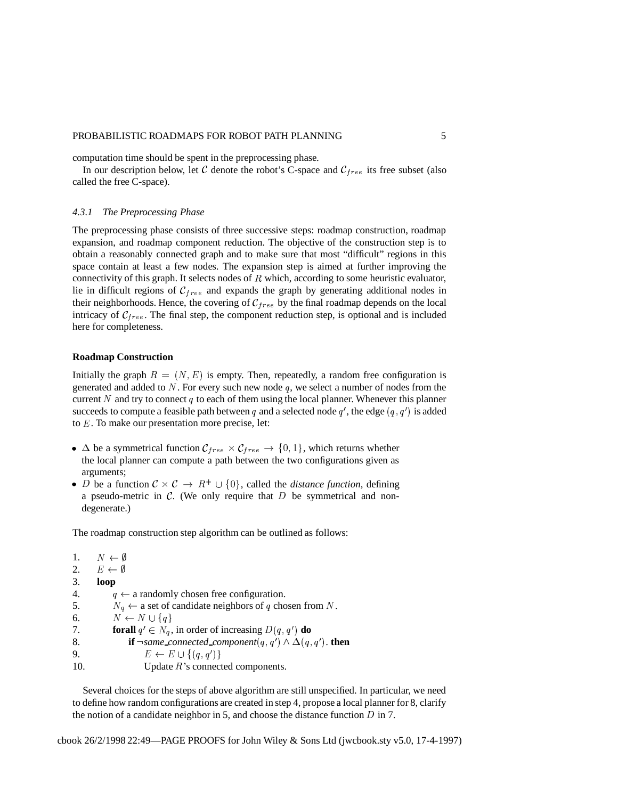## PROBABILISTIC ROADMAPS FOR ROBOT PATH PLANNING 5

computation time should be spent in the preprocessing phase.

In our description below, let C denote the robot's C-space and  $C_{free}$  its free subset (also called the free C-space).

#### *4.3.1 The Preprocessing Phase*

The preprocessing phase consists of three successive steps: roadmap construction, roadmap expansion, and roadmap component reduction. The objective of the construction step is to obtain a reasonably connected graph and to make sure that most "difficult" regions in this space contain at least a few nodes. The expansion step is aimed at further improving the connectivity of this graph. It selects nodes of  $R$  which, according to some heuristic evaluator, lie in difficult regions of  $C_{free}$  and expands the graph by generating additional nodes in their neighborhoods. Hence, the covering of  $\mathcal{C}_{free}$  by the final roadmap depends on the local intricacy of  $C_{free}$ . The final step, the component reduction step, is optional and is included here for completeness.

## **Roadmap Construction**

Initially the graph  $R = (N, E)$  is empty. Then, repeatedly, a random free configuration is generated and added to  $N$ . For every such new node  $q$ , we select a number of nodes from the current N and try to connect  $q$  to each of them using the local planner. Whenever this planner succeeds to compute a feasible path between q and a selected node  $q'$ , the edge  $(q, q')$  is added to  $E$ . To make our presentation more precise, let:

- $\Delta$  be a symmetrical function  $C_{free} \times C_{free} \rightarrow \{0, 1\}$ , which returns whether the local planner can compute a path between the two configurations given as arguments;
- *D* be a function  $C \times C \rightarrow R^+ \cup \{0\}$ , called the *distance function*, defining a pseudo-metric in  $\mathcal{C}$ . (We only require that  $D$  be symmetrical and nondegenerate.)

The roadmap construction step algorithm can be outlined as follows:

1.  $N \leftarrow \emptyset$ 2.  $E \leftarrow \emptyset$ 3. **loop** 4.  $q \leftarrow$  a randomly chosen free configuration. 5.  $N_q \leftarrow$  a set of candidate neighbors of q chosen from N. 6.  $N \leftarrow N \cup \{q\}$ 7. **forall**  $q' \in N_q$ , in order of increasing  $D(q, q')$  **do** 8. **if**  $\neg$ *same\_connected\_component*( $q$ ,  $q'$ )  $\wedge \Delta(q, q')$ . **then** 9.  $E \leftarrow E \cup \{(q, q')\}$ 10. Update *R*'s connected components.

Several choices for the steps of above algorithm are still unspecified. In particular, we need to define how random configurations are created in step 4, propose a local planner for 8, clarify the notion of a candidate neighbor in 5, and choose the distance function  $D$  in 7.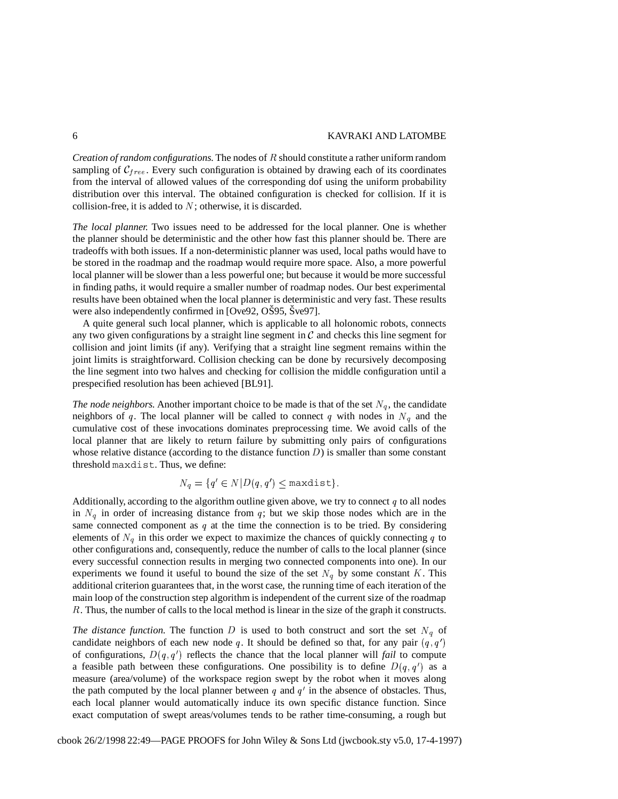*Creation of random configurations.* The nodes of should constitute a rather uniform random sampling of  $C_{free}$ . Every such configuration is obtained by drawing each of its coordinates from the interval of allowed values of the corresponding dof using the uniform probability distribution over this interval. The obtained configuration is checked for collision. If it is collision-free, it is added to  $N$ ; otherwise, it is discarded.

*The local planner.* Two issues need to be addressed for the local planner. One is whether the planner should be deterministic and the other how fast this planner should be. There are tradeoffs with both issues. If a non-deterministic planner was used, local paths would have to be stored in the roadmap and the roadmap would require more space. Also, a more powerful local planner will be slower than a less powerful one; but because it would be more successful in finding paths, it would require a smaller number of roadmap nodes. Our best experimental results have been obtained when the local planner is deterministic and very fast. These results were also independently confirmed in [Ove92, OS95, Sve97].

A quite general such local planner, which is applicable to all holonomic robots, connects any two given configurations by a straight line segment in  $\mathcal C$  and checks this line segment for collision and joint limits (if any). Verifying that a straight line segment remains within the joint limits is straightforward. Collision checking can be done by recursively decomposing the line segment into two halves and checking for collision the middle configuration until a prespecified resolution has been achieved [BL91].

*The node neighbors.* Another important choice to be made is that of the set  $N_q$ , the candidate neighbors of q. The local planner will be called to connect q with nodes in  $N_q$  and the cumulative cost of these invocations dominates preprocessing time. We avoid calls of the local planner that are likely to return failure by submitting only pairs of configurations whose relative distance (according to the distance function  $D$ ) is smaller than some constant threshold maxdist. Thus, we define:

$$
N_q = \{ q' \in N | D(q, q') \leq \text{maxdist} \}.
$$

Additionally, according to the algorithm outline given above, we try to connect  $q$  to all nodes in  $N_q$  in order of increasing distance from q; but we skip those nodes which are in the same connected component as  $q$  at the time the connection is to be tried. By considering elements of  $N_q$  in this order we expect to maximize the chances of quickly connecting q to other configurations and, consequently, reduce the number of calls to the local planner (since every successful connection results in merging two connected components into one). In our experiments we found it useful to bound the size of the set  $N_q$  by some constant K. This additional criterion guarantees that, in the worst case, the running time of each iteration of the main loop of the construction step algorithm is independent of the current size of the roadmap . Thus, the number of calls to the local method is linear in the size of the graph it constructs.

*The distance function.* The function D is used to both construct and sort the set  $N_q$  of candidate neighbors of each new node q. It should be defined so that, for any pair  $(q, q')$ of configurations,  $D(q, q')$  reflects the chance that the local planner will *fail* to compute a feasible path between these configurations. One possibility is to define  $D(q, q')$  as a measure (area/volume) of the workspace region swept by the robot when it moves along the path computed by the local planner between q and  $q'$  in the absence of obstacles. Thus, each local planner would automatically induce its own specific distance function. Since exact computation of swept areas/volumes tends to be rather time-consuming, a rough but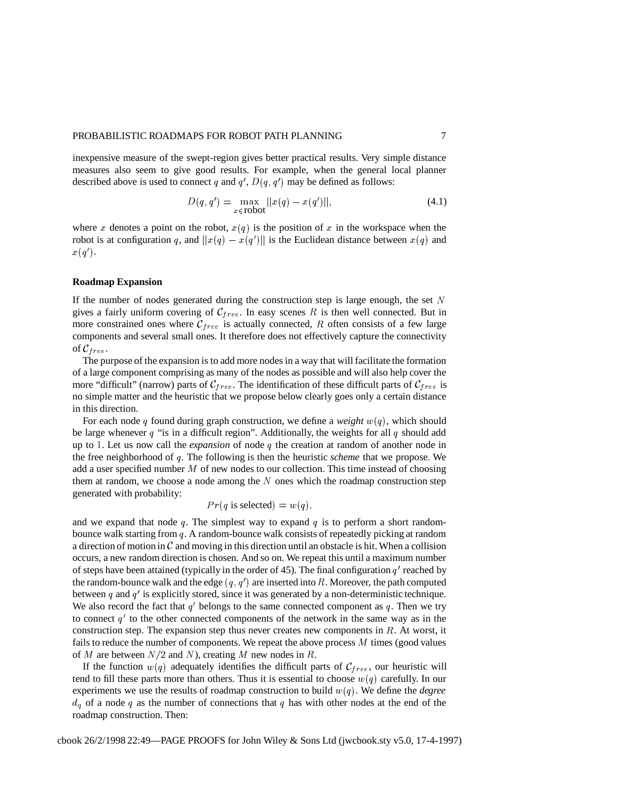### PROBABILISTIC ROADMAPS FOR ROBOT PATH PLANNING  $\qquad \qquad \qquad 7$

inexpensive measure of the swept-region gives better practical results. Very simple distance measures also seem to give good results. For example, when the general local planner described above is used to connect q and  $q'$ ,  $D(q, q')$  may be defined as follows:

$$
D(q, q') = \max_{x \in \text{robot}} ||x(q) - x(q')||,
$$
\n(4.1)

where x denotes a point on the robot,  $x(q)$  is the position of x in the workspace when the robot is at configuration q, and  $||x(q) - x(q')||$  is the Euclidean distance between  $x(q)$  and  $x(q').$ 

# **Roadmap Expansion**

If the number of nodes generated during the construction step is large enough, the set  $N$ gives a fairly uniform covering of  $C_{free}$ . In easy scenes R is then well connected. But in more constrained ones where  $\mathcal{C}_{free}$  is actually connected, R often consists of a few large components and several small ones. It therefore does not effectively capture the connectivity of  $\mathcal{C}_{free}$ .

The purpose of the expansion is to add more nodes in a way that will facilitate the formation of a large component comprising as many of the nodes as possible and will also help cover the more "difficult" (narrow) parts of  $\mathcal{C}_{free}$ . The identification of these difficult parts of  $\mathcal{C}_{free}$  is no simple matter and the heuristic that we propose below clearly goes only a certain distance in this direction.

For each node q found during graph construction, we define a *weight*  $w(q)$ , which should be large whenever  $q$  "is in a difficult region". Additionally, the weights for all  $q$  should add up to 1. Let us now call the *expansion* of node  $q$  the creation at random of another node in the free neighborhood of q. The following is then the heuristic *scheme* that we propose. We add a user specified number  $M$  of new nodes to our collection. This time instead of choosing them at random, we choose a node among the  $N$  ones which the roadmap construction step generated with probability:

$$
Pr(q \text{ is selected}) = w(q),
$$

and we expand that node q. The simplest way to expand q is to perform a short randombounce walk starting from . A random-bounce walk consists of repeatedly picking at random a direction of motion in  $\mathcal C$  and moving in this direction until an obstacle is hit. When a collision occurs, a new random direction is chosen. And so on. We repeat this until a maximum number of steps have been attained (typically in the order of 45). The final configuration  $q'$  reached by the random-bounce walk and the edge  $(q, q')$  are inserted into R. Moreover, the path computed between q and  $q'$  is explicitly stored, since it was generated by a non-deterministic technique. We also record the fact that  $q'$  belongs to the same connected component as q. Then we try to connect  $q'$  to the other connected components of the network in the same way as in the construction step. The expansion step thus never creates new components in  $R$ . At worst, it fails to reduce the number of components. We repeat the above process  $M$  times (good values of M are between  $N/2$  and N), creating M new nodes in R.

If the function  $w(q)$  adequately identifies the difficult parts of  $\mathcal{C}_{free}$ , our heuristic will tend to fill these parts more than others. Thus it is essential to choose  $w(q)$  carefully. In our experiments we use the results of roadmap construction to build  $w(q)$ . We define the *degree*  $d_q$  of a node q as the number of connections that q has with other nodes at the end of the roadmap construction. Then: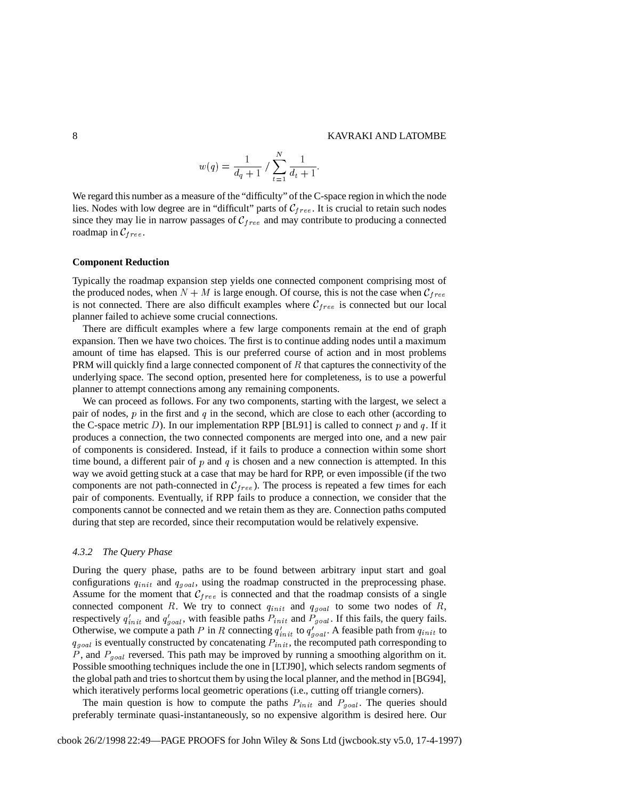$$
w(q) = \frac{1}{d_q + 1} / \sum_{t=1}^{N} \frac{1}{d_t + 1}.
$$

 $\mathbf{r}$  , and the contract of the contract of the contract of the contract of the contract of the contract of the contract of the contract of the contract of the contract of the contract of the contract of the contract o

We regard this number as a measure of the "difficulty" of the C-space region in which the node lies. Nodes with low degree are in "difficult" parts of  $C_{free}$ . It is crucial to retain such nodes since they may lie in narrow passages of  $C_{free}$  and may contribute to producing a connected roadmap in  $C_{free}$ .

## **Component Reduction**

Typically the roadmap expansion step yields one connected component comprising most of the produced nodes, when  $N + M$  is large enough. Of course, this is not the case when  $C_{free}$ is not connected. There are also difficult examples where  $\mathcal{C}_{free}$  is connected but our local planner failed to achieve some crucial connections.

There are difficult examples where a few large components remain at the end of graph expansion. Then we have two choices. The first is to continue adding nodes until a maximum amount of time has elapsed. This is our preferred course of action and in most problems PRM will quickly find a large connected component of  $R$  that captures the connectivity of the underlying space. The second option, presented here for completeness, is to use a powerful planner to attempt connections among any remaining components.

We can proceed as follows. For any two components, starting with the largest, we select a pair of nodes,  $p$  in the first and  $q$  in the second, which are close to each other (according to the C-space metric D). In our implementation RPP [BL91] is called to connect p and q. If it produces a connection, the two connected components are merged into one, and a new pair of components is considered. Instead, if it fails to produce a connection within some short time bound, a different pair of  $p$  and  $q$  is chosen and a new connection is attempted. In this way we avoid getting stuck at a case that may be hard for RPP, or even impossible (if the two components are not path-connected in  $C_{free}$ ). The process is repeated a few times for each pair of components. Eventually, if RPP fails to produce a connection, we consider that the components cannot be connected and we retain them as they are. Connection paths computed during that step are recorded, since their recomputation would be relatively expensive.

#### *4.3.2 The Query Phase*

During the query phase, paths are to be found between arbitrary input start and goal configurations  $q_{init}$  and  $q_{goal}$ , using the roadmap constructed in the preprocessing phase. Assume for the moment that  $C_{free}$  is connected and that the roadmap consists of a single connected component R. We try to connect  $q_{init}$  and  $q_{goal}$  to some two nodes of R, respectively  $q'_{init}$  and  $q'_{goal}$ , with feasible paths  $P_{init}$  and  $P_{goal}$ . If this fails, the query fails. Otherwise, we compute a path P in R connecting  $q'_{init}$  to  $q'_{goal}$ . A feasible path from  $q_{init}$  to  $q_{goal}$  is eventually constructed by concatenating  $P_{init}$ , the recomputed path corresponding to , and  $P_{goal}$  reversed. This path may be improved by running a smoothing algorithm on it. Possible smoothing techniques include the one in [LTJ90], which selects random segments of the global path and tries to shortcut them by using the local planner, and the method in [BG94], which iteratively performs local geometric operations (i.e., cutting off triangle corners).

The main question is how to compute the paths  $P_{init}$  and  $P_{goal}$ . The queries should preferably terminate quasi-instantaneously, so no expensive algorithm is desired here. Our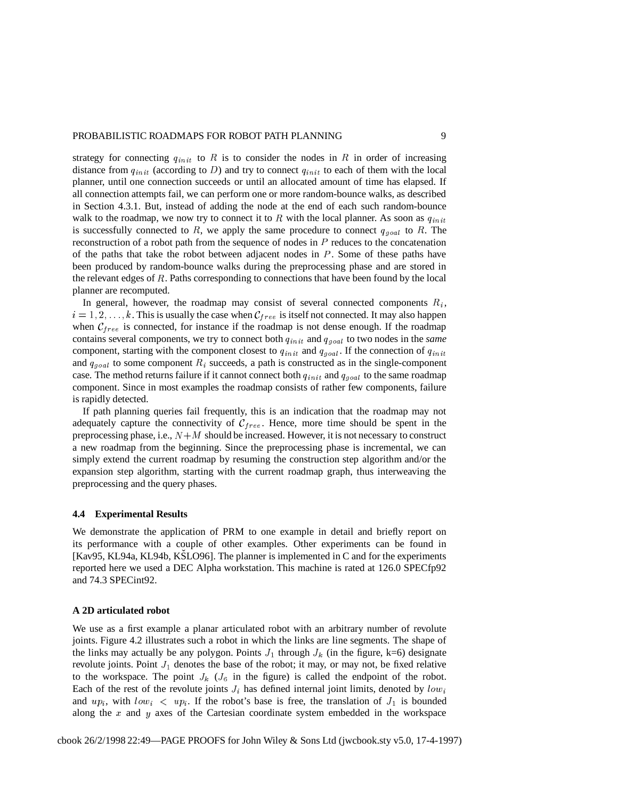strategy for connecting  $q_{init}$  to R is to consider the nodes in R in order of increasing distance from  $q_{init}$  (according to D) and try to connect  $q_{init}$  to each of them with the local planner, until one connection succeeds or until an allocated amount of time has elapsed. If all connection attempts fail, we can perform one or more random-bounce walks, as described in Section 4.3.1. But, instead of adding the node at the end of each such random-bounce walk to the roadmap, we now try to connect it to R with the local planner. As soon as  $q_{init}$ is successfully connected to R, we apply the same procedure to connect  $q_{goal}$  to R. The reconstruction of a robot path from the sequence of nodes in  $P$  reduces to the concatenation of the paths that take the robot between adjacent nodes in  $P$ . Some of these paths have been produced by random-bounce walks during the preprocessing phase and are stored in the relevant edges of  $R$ . Paths corresponding to connections that have been found by the local planner are recomputed.

In general, however, the roadmap may consist of several connected components  $R_i$ ,  $i = 1, 2, \ldots, k$ . This is usually the case when  $C_{free}$  is itself not connected. It may also happen when  $C_{free}$  is connected, for instance if the roadmap is not dense enough. If the roadmap contains several components, we try to connect both  $q_{init}$  and  $q_{goal}$  to two nodes in the *same* component, starting with the component closest to  $q_{init}$  and  $q_{goal}$ . If the connection of  $q_{init}$ and  $q_{goal}$  to some component  $R_i$  succeeds, a path is constructed as in the single-component case. The method returns failure if it cannot connect both  $q_{init}$  and  $q_{goal}$  to the same roadmap component. Since in most examples the roadmap consists of rather few components, failure is rapidly detected.

If path planning queries fail frequently, this is an indication that the roadmap may not adequately capture the connectivity of  $\mathcal{C}_{free}$ . Hence, more time should be spent in the preprocessing phase, i.e.,  $N+M$  should be increased. However, it is not necessary to construct a new roadmap from the beginning. Since the preprocessing phase is incremental, we can simply extend the current roadmap by resuming the construction step algorithm and/or the expansion step algorithm, starting with the current roadmap graph, thus interweaving the preprocessing and the query phases.

# **4.4 Experimental Results**

We demonstrate the application of PRM to one example in detail and briefly report on its performance with a couple of other examples. Other experiments can be found in [Kav95, KL94a, KL94b, KSLO96]. The planner is implemented in C and for the experiments reported here we used a DEC Alpha workstation. This machine is rated at 126.0 SPECfp92 and 74.3 SPECint92.

# **A 2D articulated robot**

We use as a first example a planar articulated robot with an arbitrary number of revolute joints. Figure 4.2 illustrates such a robot in which the links are line segments. The shape of the links may actually be any polygon. Points  $J_1$  through  $J_k$  (in the figure, k=6) designate revolute joints. Point  $J_1$  denotes the base of the robot; it may, or may not, be fixed relative to the workspace. The point  $J_k$  ( $J_6$  in the figure) is called the endpoint of the robot. Each of the rest of the revolute joints  $J_i$  has defined internal joint limits, denoted by  $low_i$ and  $up_i$ , with  $low_i < up_i$ . If the robot's base is free, the translation of  $J_1$  is bounded along the  $x$  and  $y$  axes of the Cartesian coordinate system embedded in the workspace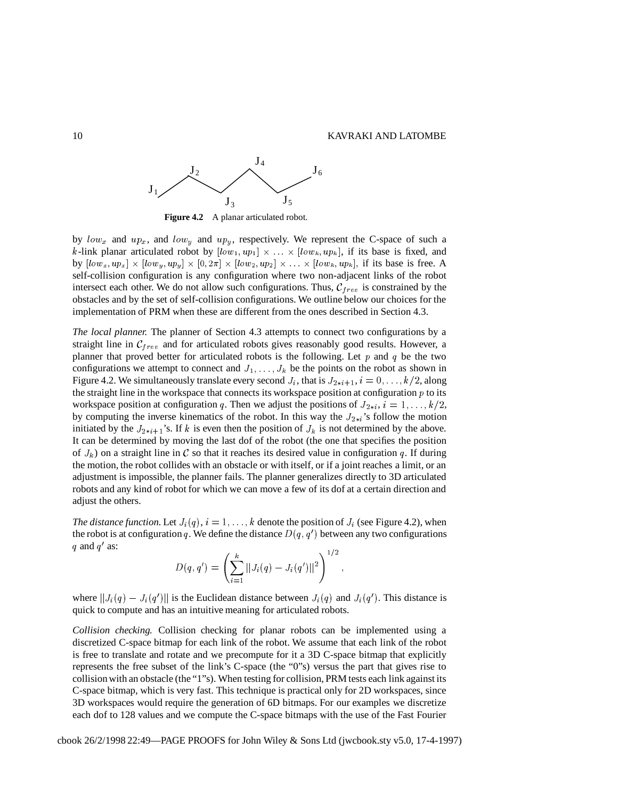

**Figure 4.2** A planar articulated robot.

by  $low_x$  and  $up_x$ , and  $low_y$  and  $up_y$ , respectively. We represent the C-space of such a k-link planar articulated robot by  $[low_1, up_1] \times ... \times [low_k, up_k]$ , if its base is fixed, and by  $[low_x, up_x] \times [low_y, up_y] \times [0, 2\pi] \times [low_z, up_z] \times \ldots \times [low_k, up_k]$ , if its base is free. A self-collision configuration is any configuration where two non-adjacent links of the robot intersect each other. We do not allow such configurations. Thus,  $C_{free}$  is constrained by the obstacles and by the set of self-collision configurations. We outline below our choices for the implementation of PRM when these are different from the ones described in Section 4.3.

*The local planner.* The planner of Section 4.3 attempts to connect two configurations by a straight line in  $\mathcal{C}_{free}$  and for articulated robots gives reasonably good results. However, a planner that proved better for articulated robots is the following. Let  $p$  and  $q$  be the two configurations we attempt to connect and  $J_1, \ldots, J_k$  be the points on the robot as shown in Figure 4.2. We simultaneously translate every second  $J_i$ , that is  $J_{2+i+1}$ ,  $i = 0, \ldots, k/2$ , along the straight line in the workspace that connects its workspace position at configuration  $p$  to its workspace position at configuration q. Then we adjust the positions of  $J_{2+i}$ ,  $i = 1, ..., k/2$ , by computing the inverse kinematics of the robot. In this way the  $J_{2+i}$ 's follow the motion initiated by the  $J_{2+i+1}$ 's. If k is even then the position of  $J_k$  is not determined by the above. It can be determined by moving the last dof of the robot (the one that specifies the position of  $J_k$ ) on a straight line in C so that it reaches its desired value in configuration q. If during the motion, the robot collides with an obstacle or with itself, or if a joint reaches a limit, or an adjustment is impossible, the planner fails. The planner generalizes directly to 3D articulated robots and any kind of robot for which we can move a few of its dof at a certain direction and adjust the others.

The distance function. Let  $J_i(q)$ ,  $i = 1, \ldots, k$  denote the position of  $J_i$  (see Figure 4.2), when the robot is at configuration q. We define the distance  $D(q, q')$  between any two configurations q and  $q'$  as:  $1.16$ 

$$
D(q, q') = \left(\sum_{i=1}^k ||J_i(q) - J_i(q')||^2\right)^{1/2},
$$

where  $||J_i(q) - J_i(q')||$  is the Euclidean distance between  $J_i(q)$  and  $J_i(q')$ . This distance is quick to compute and has an intuitive meaning for articulated robots.

*Collision checking.* Collision checking for planar robots can be implemented using a discretized C-space bitmap for each link of the robot. We assume that each link of the robot is free to translate and rotate and we precompute for it a 3D C-space bitmap that explicitly represents the free subset of the link's C-space (the "0"s) versus the part that gives rise to collision with an obstacle (the "1"s). When testing for collision, PRM tests each link against its C-space bitmap, which is very fast. This technique is practical only for 2D workspaces, since 3D workspaces would require the generation of 6D bitmaps. For our examples we discretize each dof to 128 values and we compute the C-space bitmaps with the use of the Fast Fourier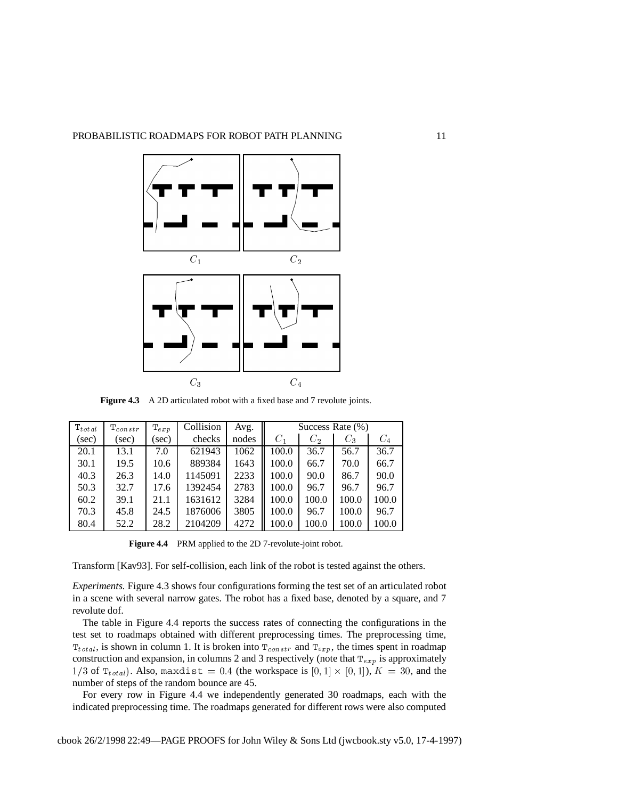

**Figure 4.3** A 2D articulated robot with a fixed base and 7 revolute joints.

| $\mathrm{T}_{total}$ | $\mathrm{T}_{const}$ r | $T_{exp}$ | Collision | Avg.  | Success Rate $(\% )$ |       |       |       |
|----------------------|------------------------|-----------|-----------|-------|----------------------|-------|-------|-------|
| (sec)                | (sec)                  | (sec)     | checks    | nodes | $C_1$                | $C_2$ | $C_3$ | $C_4$ |
| 20.1                 | 13.1                   | 7.0       | 621943    | 1062  | 100.0                | 36.7  | 56.7  | 36.7  |
| 30.1                 | 19.5                   | 10.6      | 889384    | 1643  | 100.0                | 66.7  | 70.0  | 66.7  |
| 40.3                 | 26.3                   | 14.0      | 1145091   | 2233  | 100.0                | 90.0  | 86.7  | 90.0  |
| 50.3                 | 32.7                   | 17.6      | 1392454   | 2783  | 100.0                | 96.7  | 96.7  | 96.7  |
| 60.2                 | 39.1                   | 21.1      | 1631612   | 3284  | 100.0                | 100.0 | 100.0 | 100.0 |
| 70.3                 | 45.8                   | 24.5      | 1876006   | 3805  | 100.0                | 96.7  | 100.0 | 96.7  |
| 80.4                 | 52.2                   | 28.2      | 2104209   | 4272  | 100.0                | 100.0 | 100.0 | 100.0 |

**Figure 4.4** PRM applied to the 2D 7-revolute-joint robot.

Transform [Kav93]. For self-collision, each link of the robot is tested against the others.

*Experiments.* Figure 4.3 shows four configurations forming the test set of an articulated robot in a scene with several narrow gates. The robot has a fixed base, denoted by a square, and 7 revolute dof.

The table in Figure 4.4 reports the success rates of connecting the configurations in the test set to roadmaps obtained with different preprocessing times. The preprocessing time,  $T_{total}$ , is shown in column 1. It is broken into  $T_{constr}$  and  $T_{exp}$ , the times spent in roadmap construction and expansion, in columns 2 and 3 respectively (note that  $T_{exp}$  is approximately  $1/3$  of  $T_{total}$ ). Also, maxdist = 0.4 (the workspace is  $[0, 1] \times [0, 1]$ ),  $K = 30$ , and the number of steps of the random bounce are 45.

For every row in Figure 4.4 we independently generated 30 roadmaps, each with the indicated preprocessing time. The roadmaps generated for different rows were also computed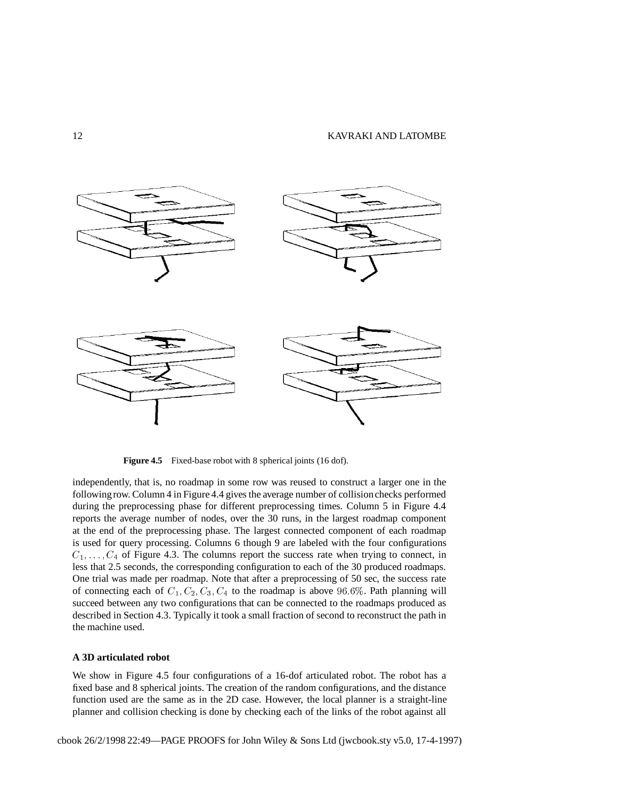

**Figure 4.5** Fixed-base robot with 8 spherical joints (16 dof).

independently, that is, no roadmap in some row was reused to construct a larger one in the followingrow. Column 4 in Figure 4.4 gives the average number of collisionchecks performed during the preprocessing phase for different preprocessing times. Column 5 in Figure 4.4 reports the average number of nodes, over the 30 runs, in the largest roadmap component at the end of the preprocessing phase. The largest connected component of each roadmap is used for query processing. Columns 6 though 9 are labeled with the four configurations  $C_1, \ldots, C_4$  of Figure 4.3. The columns report the success rate when trying to connect, in less that 2.5 seconds, the corresponding configuration to each of the 30 produced roadmaps. One trial was made per roadmap. Note that after a preprocessing of 50 sec, the success rate of connecting each of  $C_1$ ,  $C_2$ ,  $C_3$ ,  $C_4$  to the roadmap is above 96.6%. Path planning will succeed between any two configurations that can be connected to the roadmaps produced as described in Section 4.3. Typically it took a small fraction of second to reconstruct the path in the machine used.

# **A 3D articulated robot**

We show in Figure 4.5 four configurations of a 16-dof articulated robot. The robot has a fixed base and 8 spherical joints. The creation of the random configurations, and the distance function used are the same as in the 2D case. However, the local planner is a straight-line planner and collision checking is done by checking each of the links of the robot against all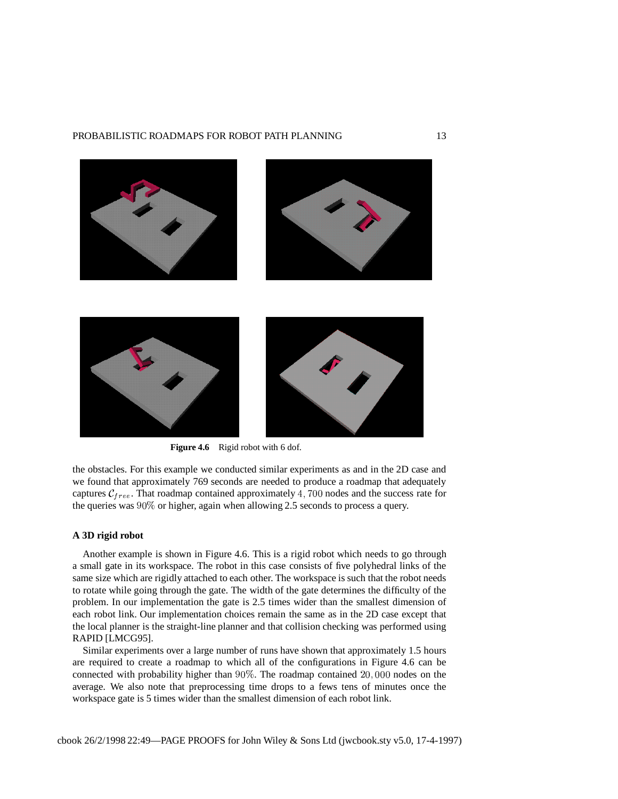# PROBABILISTIC ROADMAPS FOR ROBOT PATH PLANNING 13



**Figure 4.6** Rigid robot with 6 dof.

the obstacles. For this example we conducted similar experiments as and in the 2D case and we found that approximately 769 seconds are needed to produce a roadmap that adequately captures  $C_{free}$ . That roadmap contained approximately 4, 700 nodes and the success rate for the queries was  $90\%$  or higher, again when allowing 2.5 seconds to process a query.

# **A 3D rigid robot**

Another example is shown in Figure 4.6. This is a rigid robot which needs to go through a small gate in its workspace. The robot in this case consists of five polyhedral links of the same size which are rigidly attached to each other. The workspace is such that the robot needs to rotate while going through the gate. The width of the gate determines the difficulty of the problem. In our implementation the gate is 2.5 times wider than the smallest dimension of each robot link. Our implementation choices remain the same as in the 2D case except that the local planner is the straight-line planner and that collision checking was performed using RAPID [LMCG95].

Similar experiments over a large number of runs have shown that approximately 1.5 hours are required to create a roadmap to which all of the configurations in Figure 4.6 can be connected with probability higher than  $90\%$ . The roadmap contained  $20,000$  nodes on the average. We also note that preprocessing time drops to a fews tens of minutes once the workspace gate is 5 times wider than the smallest dimension of each robot link.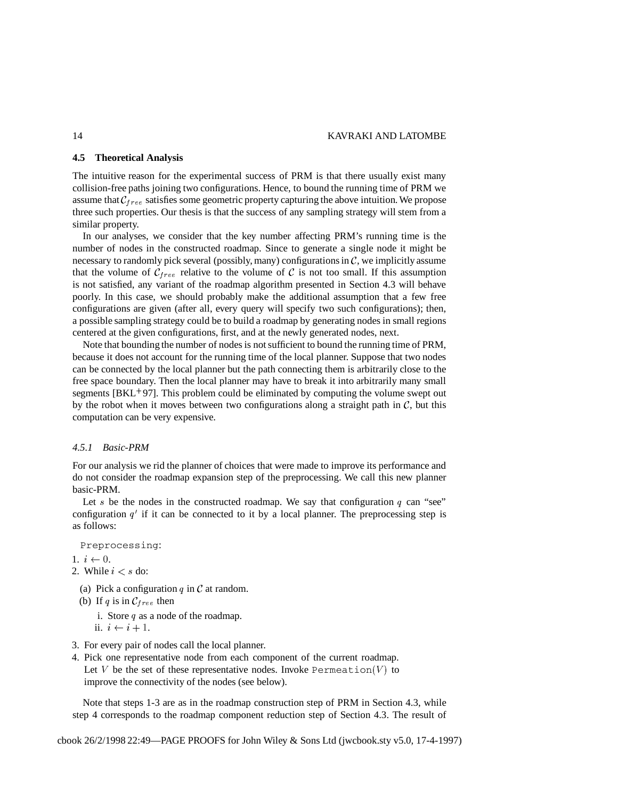# **4.5 Theoretical Analysis**

The intuitive reason for the experimental success of PRM is that there usually exist many collision-free paths joining two configurations. Hence, to bound the running time of PRM we assume that  $C_{free}$  satisfies some geometric property capturing the above intuition. We propose three such properties. Our thesis is that the success of any sampling strategy will stem from a similar property.

In our analyses, we consider that the key number affecting PRM's running time is the number of nodes in the constructed roadmap. Since to generate a single node it might be necessary to randomly pick several (possibly, many) configurations in  $C$ , we implicitly assume that the volume of  $C_{free}$  relative to the volume of C is not too small. If this assumption is not satisfied, any variant of the roadmap algorithm presented in Section 4.3 will behave poorly. In this case, we should probably make the additional assumption that a few free configurations are given (after all, every query will specify two such configurations); then, a possible sampling strategy could be to build a roadmap by generating nodes in small regions centered at the given configurations, first, and at the newly generated nodes, next.

Note that bounding the number of nodes is not sufficient to bound the running time of PRM, because it does not account for the running time of the local planner. Suppose that two nodes can be connected by the local planner but the path connecting them is arbitrarily close to the free space boundary. Then the local planner may have to break it into arbitrarily many small segments [BKL<sup>+97]</sup>. This problem could be eliminated by computing the volume swept out by the robot when it moves between two configurations along a straight path in  $C$ , but this computation can be very expensive.

# *4.5.1 Basic-PRM*

For our analysis we rid the planner of choices that were made to improve its performance and do not consider the roadmap expansion step of the preprocessing. We call this new planner basic-PRM.

Let s be the nodes in the constructed roadmap. We say that configuration  $q$  can "see" configuration  $q'$  if it can be connected to it by a local planner. The preprocessing step is as follows:

Preprocessing:

1.  $i \leftarrow 0$ .

- 2. While  $i < s$  do:
	- (a) Pick a configuration  $q$  in  $\mathcal C$  at random.
- (b) If q is in  $C_{free}$  then
	- i. Store  $q$  as a node of the roadmap.
	- ii.  $i \leftarrow i + 1$ .
- 3. For every pair of nodes call the local planner.
- 4. Pick one representative node from each component of the current roadmap. Let  $V$  be the set of these representative nodes. Invoke <code>Permeation(V)</code> to improve the connectivity of the nodes (see below).

Note that steps 1-3 are as in the roadmap construction step of PRM in Section 4.3, while step 4 corresponds to the roadmap component reduction step of Section 4.3. The result of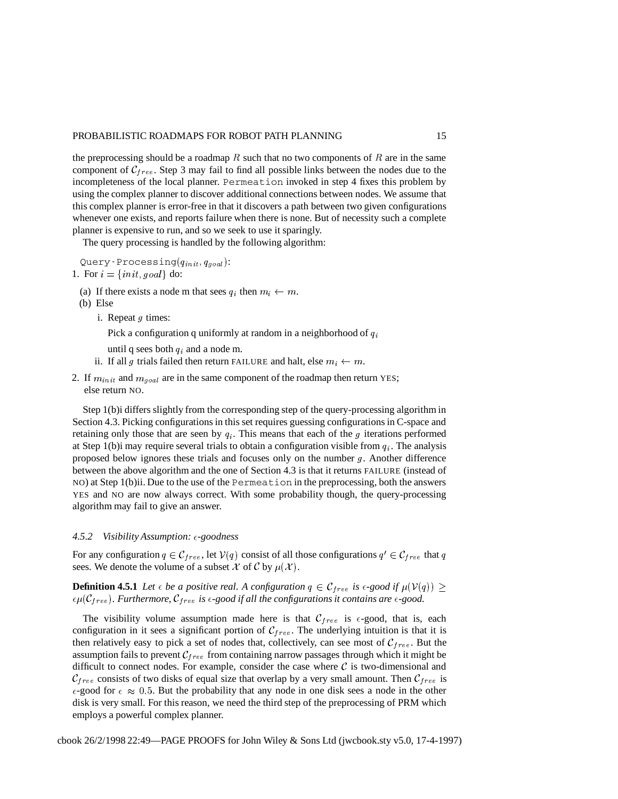the preprocessing should be a roadmap  $R$  such that no two components of  $R$  are in the same component of  $C_{free}$ . Step 3 may fail to find all possible links between the nodes due to the incompleteness of the local planner. Permeation invoked in step 4 fixes this problem by using the complex planner to discover additional connections between nodes. We assume that this complex planner is error-free in that it discovers a path between two given configurations whenever one exists, and reports failure when there is none. But of necessity such a complete planner is expensive to run, and so we seek to use it sparingly.

The query processing is handled by the following algorithm:

Query-Processing $(q_{init}, q_{goal})$ :

- 1. For  $i = \{init, goal\}$  do:
	- (a) If there exists a node m that sees  $q_i$  then  $m_i \leftarrow m$ .
	- (b) Else
		- i. Repeat  $g$  times:

Pick a configuration q uniformly at random in a neighborhood of  $q_i$ 

- until q sees both  $q_i$  and a node m.
- ii. If all g trials failed then return FAILURE and halt, else  $m_i \leftarrow m$ .
- 2. If  $m_{init}$  and  $m_{goal}$  are in the same component of the roadmap then return YES; else return NO.

Step 1(b)i differs slightly from the corresponding step of the query-processing algorithm in Section 4.3. Picking configurations in this set requires guessing configurations in C-space and retaining only those that are seen by  $q_i$ . This means that each of the g iterations performed at Step 1(b)i may require several trials to obtain a configuration visible from  $q_i$ . The analysis proposed below ignores these trials and focuses only on the number  $g$ . Another difference between the above algorithm and the one of Section 4.3 is that it returns FAILURE (instead of NO) at Step 1(b)ii. Due to the use of the Permeation in the preprocessing, both the answers YES and NO are now always correct. With some probability though, the query-processing algorithm may fail to give an answer.

# *4.5.2 Visibility Assumption: -goodness*

For any configuration  $q \in \mathcal{C}_{free}$ , let  $\mathcal{V}(q)$  consist of all those configurations  $q' \in \mathcal{C}_{free}$  that q sees. We denote the volume of a subset X of C by  $\mu(\mathcal{X})$ .

**Definition 4.5.1** Let  $\epsilon$  be a positive real. A configuration  $q \in \mathcal{C}_{free}$  is  $\epsilon$ -good if  $\mu(\mathcal{V}(q)) \ge$  $\epsilon \mu$ ( $C_{free}$ ). Furthermore,  $C_{free}$  is  $\epsilon$ -good if all the configurations it contains are  $\epsilon$ -good.

The visibility volume assumption made here is that  $\mathcal{C}_{free}$  is  $\epsilon$ -good, that is, each configuration in it sees a significant portion of  $C_{free}$ . The underlying intuition is that it is then relatively easy to pick a set of nodes that, collectively, can see most of  $\mathcal{C}_{free}$ . But the assumption fails to prevent  $C_{free}$  from containing narrow passages through which it might be difficult to connect nodes. For example, consider the case where  $\mathcal C$  is two-dimensional and  $C_{free}$  consists of two disks of equal size that overlap by a very small amount. Then  $C_{free}$  is  $\epsilon$ -good for  $\epsilon \approx 0.5$ . But the probability that any node in one disk sees a node in the other disk is very small. For this reason, we need the third step of the preprocessing of PRM which employs a powerful complex planner.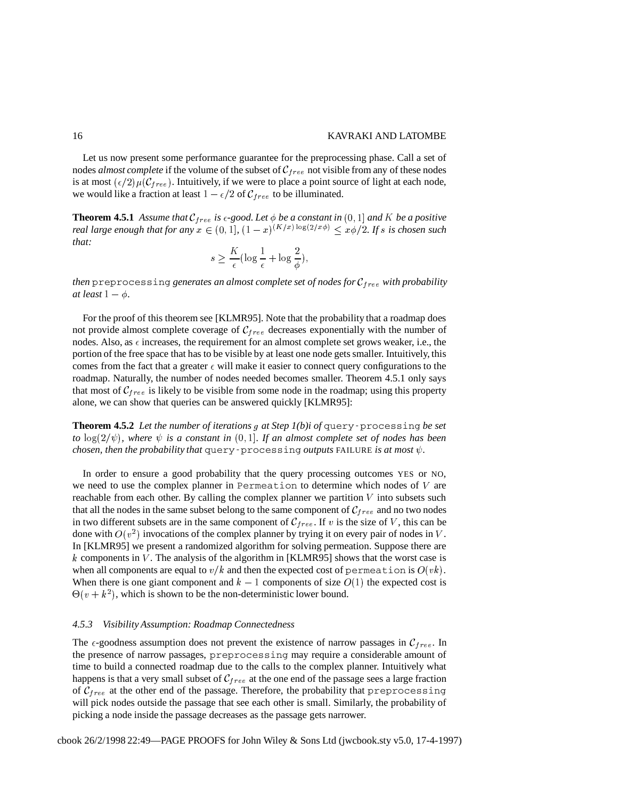Let us now present some performance guarantee for the preprocessing phase. Call a set of nodes *almost complete* if the volume of the subset of  $C_{free}$  not visible from any of these nodes is at most  $(\epsilon/2)\mu(C_{free})$ . Intuitively, if we were to place a point source of light at each node, we would like a fraction at least  $1 - \epsilon/2$  of  $C_{free}$  to be illuminated.

**Theorem 4.5.1** Assume that  $\mathcal{C}_{free}$  is  $\epsilon$ -good. Let  $\phi$  be a constant in  $(0, 1]$  and K be a positive *real large enough that for any*  $x \in (0, 1]$ ,  $(1-x)^{(K/x) \log(2/x\phi)} \leq x\phi/2$ . If s is chosen such *that:*

$$
s \ge \frac{K}{\epsilon} (\log \frac{1}{\epsilon} + \log \frac{2}{\phi}),
$$

*then* preprocessing *generates an almost complete set of nodes for with probability at* least  $1 - \phi$ .

For the proof of this theorem see [KLMR95]. Note that the probability that a roadmap does not provide almost complete coverage of  $C_{free}$  decreases exponentially with the number of nodes. Also, as  $\epsilon$  increases, the requirement for an almost complete set grows weaker, i.e., the portion of the free space that has to be visible by at least one node gets smaller. Intuitively, this comes from the fact that a greater  $\epsilon$  will make it easier to connect query configurations to the roadmap. Naturally, the number of nodes needed becomes smaller. Theorem 4.5.1 only says that most of  $C_{free}$  is likely to be visible from some node in the roadmap; using this property alone, we can show that queries can be answered quickly [KLMR95]:

**Theorem 4.5.2** *Let the number of iterations at Step 1(b)i of* query-processing *be set to*  $\log(2/\psi)$ , where  $\psi$  *is a constant in*  $(0, 1]$ *. If an almost complete set of nodes has been chosen, then the probability that*  $\texttt{query-processing outputs}\text{ FAILURE}$  *is at most*  $\psi$ .

In order to ensure a good probability that the query processing outcomes YES or NO, we need to use the complex planner in Permeation to determine which nodes of  $V$  are reachable from each other. By calling the complex planner we partition  $V$  into subsets such that all the nodes in the same subset belong to the same component of  $C_{free}$  and no two nodes in two different subsets are in the same component of  $\mathcal{C}_{free}$ . If v is the size of V, this can be done with  $O(v^2)$  invocations of the complex planner by trying it on every pair of nodes in V. In [KLMR95] we present a randomized algorithm for solving permeation. Suppose there are  $k$  components in  $V$ . The analysis of the algorithm in [KLMR95] shows that the worst case is when all components are equal to  $v/k$  and then the expected cost of permeation is  $O(vk)$ . When there is one giant component and  $k-1$  components of size  $O(1)$  the expected cost is  $\Theta(v + k^2)$ , which is shown to be the non-deterministic lower bound.

#### *4.5.3 Visibility Assumption: Roadmap Connectedness*

The  $\epsilon$ -goodness assumption does not prevent the existence of narrow passages in  $\mathcal{C}_{free}$ . In the presence of narrow passages, preprocessing may require a considerable amount of time to build a connected roadmap due to the calls to the complex planner. Intuitively what happens is that a very small subset of  $C_{free}$  at the one end of the passage sees a large fraction of  $C_{free}$  at the other end of the passage. Therefore, the probability that preprocessing will pick nodes outside the passage that see each other is small. Similarly, the probability of picking a node inside the passage decreases as the passage gets narrower.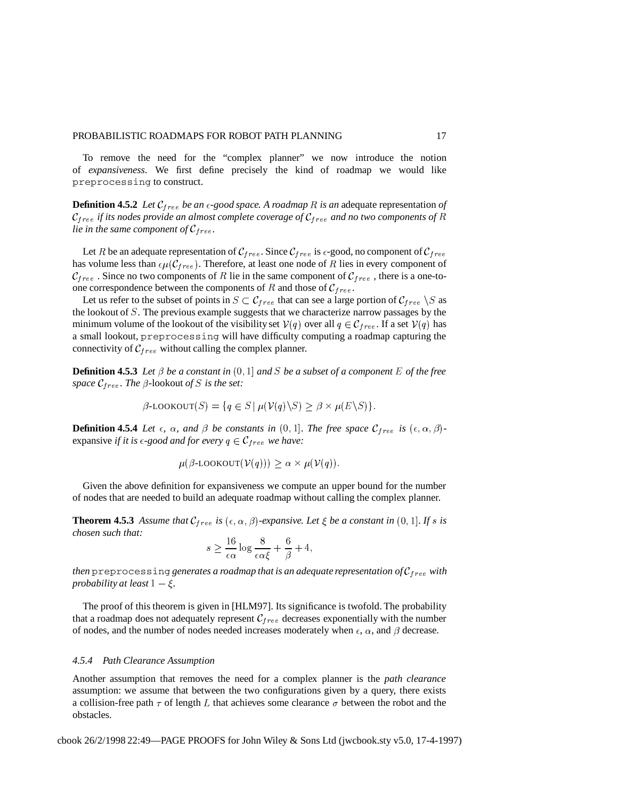To remove the need for the "complex planner" we now introduce the notion of *expansiveness*. We first define precisely the kind of roadmap we would like preprocessing to construct.

**Definition 4.5.2** *Let be an -good space. A roadmap is an* adequate representation *of*  $c_{free}$  *if* its nodes provide an almost complete coverage of  $c_{free}$  and no two components of R *lie in the same component of*  $C_{free}$ *.* 

Let R be an adequate representation of  $\mathcal{C}_{free}$ . Since  $\mathcal{C}_{free}$  is  $\epsilon$ -good, no component of  $\mathcal{C}_{free}$ has volume less than  $\epsilon \mu(C_{free})$ . Therefore, at least one node of R lies in every component of  $\mathcal{C}_{free}$  . Since no two components of R lie in the same component of  $\mathcal{C}_{free}$ , there is a one-toone correspondence between the components of R and those of  $C_{free}$ .

Let us refer to the subset of points in  $S \subset \mathcal{C}_{free}$  that can see a large portion of  $\mathcal{C}_{free} \setminus S$  as the lookout of . The previous example suggests that we characterize narrow passages by the minimum volume of the lookout of the visibility set  $V(q)$  over all  $q \in \mathcal{C}_{free}$ . If a set  $V(q)$  has a small lookout, preprocessing will have difficulty computing a roadmap capturing the connectivity of  $C_{free}$  without calling the complex planner.

**Definition 4.5.3** Let  $\beta$  be a constant in  $(0, 1]$  and S be a subset of a component E of the free *space*  $\mathcal{C}_{free}$ *. The*  $\beta$ *-lookout of S is the set:* 

$$
\beta\text{-LOOKOUT}(S) = \{q \in S \mid \mu(\mathcal{V}(q) \setminus S) \ge \beta \times \mu(E \setminus S)\}.
$$

**Definition 4.5.4** Let  $\epsilon$ ,  $\alpha$ , and  $\beta$  be constants in  $(0,1]$ . The free space  $\mathcal{C}_{free}$  is  $(\epsilon, \alpha, \beta)$ expansive *if it is*  $\epsilon$ -good *and for every*  $q \in \mathcal{C}_{free}$  *we have:* 

$$
\mu(\beta\text{-LOOKOUT}(\mathcal{V}(q))) \geq \alpha \times \mu(\mathcal{V}(q)).
$$

Given the above definition for expansiveness we compute an upper bound for the number of nodes that are needed to build an adequate roadmap without calling the complex planner.

**Theorem 4.5.3** Assume that  $\mathcal{C}_{free}$  is  $(\epsilon, \alpha, \beta)$ -expansive. Let  $\xi$  be a constant in  $(0, 1]$ . If s is *chosen such that:* 

$$
s \ge \frac{16}{\epsilon \alpha} \log \frac{8}{\epsilon \alpha \xi} + \frac{6}{\beta} + 4,
$$

*then* preprocessing generates a roadmap that is an adequate representation of  $C_{free}$  with *probability at least*  $1 - \xi$ .

The proof of this theorem is given in [HLM97]. Its significance is twofold. The probability that a roadmap does not adequately represent  $C_{free}$  decreases exponentially with the number of nodes, and the number of nodes needed increases moderately when  $\epsilon$ ,  $\alpha$ , and  $\beta$  decrease.

# *4.5.4 Path Clearance Assumption*

Another assumption that removes the need for a complex planner is the *path clearance* assumption: we assume that between the two configurations given by a query, there exists a collision-free path  $\tau$  of length L that achieves some clearance  $\sigma$  between the robot and the obstacles.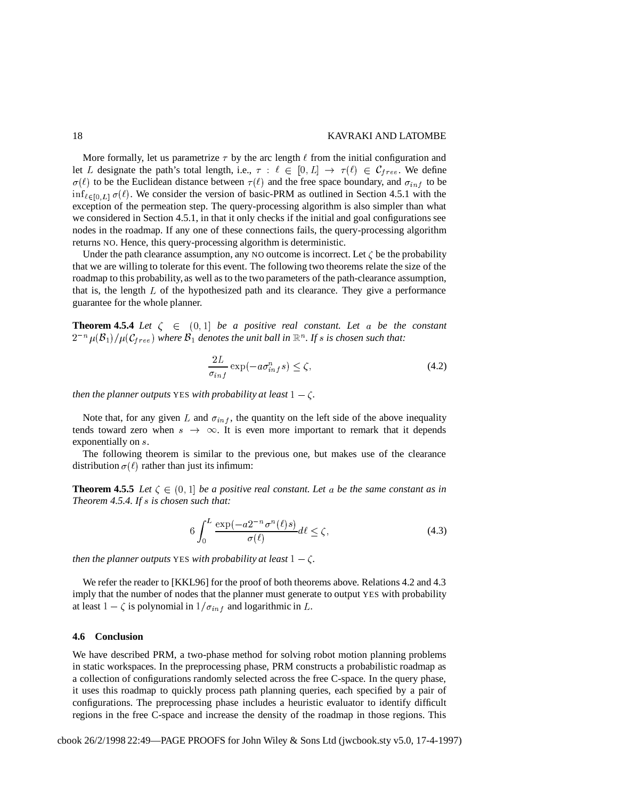## 18 KAVRAKI AND LATOMBE

More formally, let us parametrize  $\tau$  by the arc length  $\ell$  from the initial configuration and let L designate the path's total length, i.e.,  $\tau : \ell \in [0, L] \to \tau(\ell) \in \mathcal{C}_{free}$ . We define  $\sigma(\ell)$  to be the Euclidean distance between  $\tau(\ell)$  and the free space boundary, and  $\sigma_{inf}$  to be  $\inf_{\ell \in [0,L]} \sigma(\ell)$ . We consider the version of basic-PRM as outlined in Section 4.5.1 with the exception of the permeation step. The query-processing algorithm is also simpler than what we considered in Section 4.5.1, in that it only checks if the initial and goal configurations see nodes in the roadmap. If any one of these connections fails, the query-processing algorithm returns NO. Hence, this query-processing algorithm is deterministic.

Under the path clearance assumption, any NO outcome is incorrect. Let  $\zeta$  be the probability that we are willing to tolerate for this event. The following two theorems relate the size of the roadmap to this probability, as well as to the two parameters of the path-clearance assumption, that is, the length  $L$  of the hypothesized path and its clearance. They give a performance guarantee for the whole planner.

**Theorem 4.5.4** Let  $\zeta \in (0,1]$  be a positive real constant. Let a be the constant  $2^{-n}\mu(\mathcal{B}_1)/\mu(\mathcal{C}_{free})$  where  $\mathcal{B}_1$  denotes the unit ball in  $\mathbb{R}^n$ . If  $s$  is chosen such that:

$$
\frac{2L}{\sigma_{inf}} \exp(-a\sigma_{inf}^n s) \le \zeta,\tag{4.2}
$$

*then the planner outputs* YES *with probability at least*  $1 - \zeta$ .

Note that, for any given L and  $\sigma_{inf}$ , the quantity on the left side of the above inequality tends toward zero when  $s \rightarrow \infty$ . It is even more important to remark that it depends exponentially on s.

The following theorem is similar to the previous one, but makes use of the clearance distribution  $\sigma(\ell)$  rather than just its infimum:

**Theorem 4.5.5** Let  $\zeta \in (0,1]$  be a positive real constant. Let a be the same constant as in *Theorem 4.5.4. If is chosen such that:*

$$
6\int_0^L \frac{\exp(-a2^{-n}\sigma^n(\ell)s)}{\sigma(\ell)}d\ell \le \zeta,\tag{4.3}
$$

*then the planner outputs* YES *with probability at least*  $1 - \zeta$ .

We refer the reader to [KKL96] for the proof of both theorems above. Relations 4.2 and 4.3 imply that the number of nodes that the planner must generate to output YES with probability at least  $1 - \zeta$  is polynomial in  $1/\sigma_{inf}$  and logarithmic in L.

## **4.6 Conclusion**

We have described PRM, a two-phase method for solving robot motion planning problems in static workspaces. In the preprocessing phase, PRM constructs a probabilistic roadmap as a collection of configurations randomly selected across the free C-space. In the query phase, it uses this roadmap to quickly process path planning queries, each specified by a pair of configurations. The preprocessing phase includes a heuristic evaluator to identify difficult regions in the free C-space and increase the density of the roadmap in those regions. This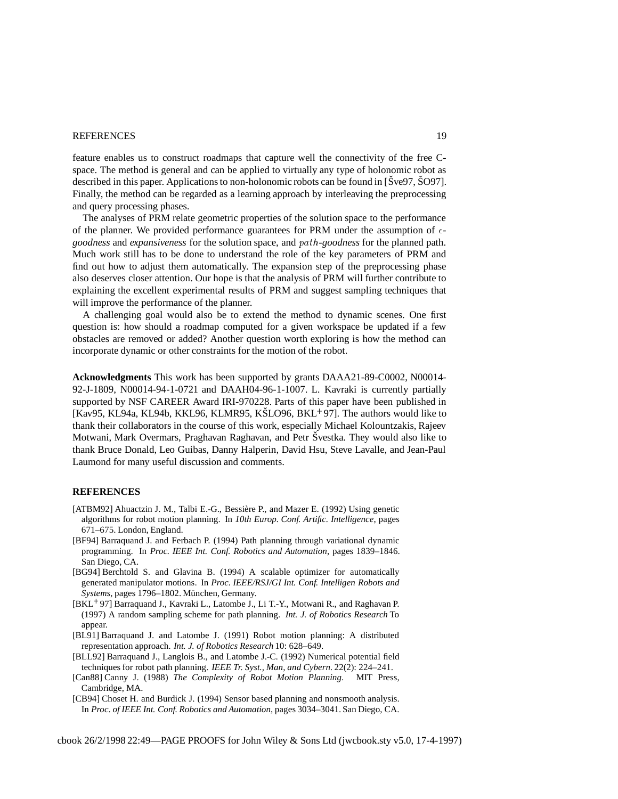# REFERENCES 19

feature enables us to construct roadmaps that capture well the connectivity of the free Cspace. The method is general and can be applied to virtually any type of holonomic robot as described in this paper. Applications to non-holonomic robots can be found in  $\tilde{S}$ ve $\tilde{S}$ ,  $\tilde{S}$ O97]. Finally, the method can be regarded as a learning approach by interleaving the preprocessing and query processing phases.

The analyses of PRM relate geometric properties of the solution space to the performance of the planner. We provided performance guarantees for PRM under the assumption of  $\epsilon$ goodness and expansiveness for the solution space, and  $path$ -goodness for the planned path. Much work still has to be done to understand the role of the key parameters of PRM and find out how to adjust them automatically. The expansion step of the preprocessing phase also deserves closer attention. Our hope is that the analysis of PRM will further contribute to explaining the excellent experimental results of PRM and suggest sampling techniques that will improve the performance of the planner.

A challenging goal would also be to extend the method to dynamic scenes. One first question is: how should a roadmap computed for a given workspace be updated if a few obstacles are removed or added? Another question worth exploring is how the method can incorporate dynamic or other constraints for the motion of the robot.

**Acknowledgments** This work has been supported by grants DAAA21-89-C0002, N00014- 92-J-1809, N00014-94-1-0721 and DAAH04-96-1-1007. L. Kavraki is currently partially supported by NSF CAREER Award IRI-970228. Parts of this paper have been published in [Kav95, KL94a, KL94b, KKL96, KLMR95, KŠLO96, BKL<sup>+97</sup>]. The authors would like to thank their collaborators in the course of this work, especially Michael Kolountzakis, Rajeev Motwani, Mark Overmars, Praghavan Raghavan, and Petr Švestka. They would also like to thank Bruce Donald, Leo Guibas, Danny Halperin, David Hsu, Steve Lavalle, and Jean-Paul Laumond for many useful discussion and comments.

# **REFERENCES**

- [ATBM92] Ahuactzin J. M., Talbi E.-G., Bessière P., and Mazer E. (1992) Using genetic algorithms for robot motion planning. In *10th Europ. Conf. Artific. Intelligence*, pages 671–675. London, England.
- [BF94] Barraquand J. and Ferbach P. (1994) Path planning through variational dynamic programming. In *Proc. IEEE Int. Conf. Robotics and Automation*, pages 1839–1846. San Diego, CA.
- [BG94] Berchtold S. and Glavina B. (1994) A scalable optimizer for automatically generated manipulator motions. In *Proc. IEEE/RSJ/GI Int. Conf. Intelligen Robots and Systems*, pages 1796–1802. München, Germany.
- [BKL 97] Barraquand J., Kavraki L., Latombe J., Li T.-Y., Motwani R., and Raghavan P. (1997) A random sampling scheme for path planning. *Int. J. of Robotics Research* To appear.
- [BL91] Barraquand J. and Latombe J. (1991) Robot motion planning: A distributed representation approach. *Int. J. of Robotics Research* 10: 628–649.
- [BLL92] Barraquand J., Langlois B., and Latombe J.-C. (1992) Numerical potential field techniques for robot path planning. *IEEE Tr. Syst., Man, and Cybern.* 22(2): 224–241.
- [Can88] Canny J. (1988) *The Complexity of Robot Motion Planning*. MIT Press, Cambridge, MA.

[CB94] Choset H. and Burdick J. (1994) Sensor based planning and nonsmooth analysis. In *Proc. of IEEE Int. Conf. Robotics and Automation*, pages 3034–3041. San Diego, CA.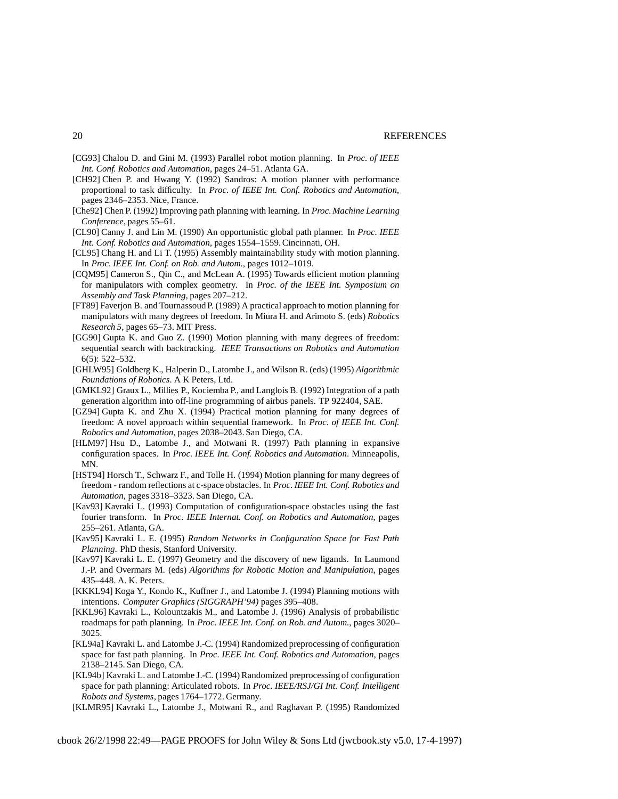- [CG93] Chalou D. and Gini M. (1993) Parallel robot motion planning. In *Proc. of IEEE Int. Conf. Robotics and Automation*, pages 24–51. Atlanta GA.
- [CH92] Chen P. and Hwang Y. (1992) Sandros: A motion planner with performance proportional to task difficulty. In *Proc. of IEEE Int. Conf. Robotics and Automation*, pages 2346–2353. Nice, France.
- [Che92] Chen P. (1992) Improving path planning with learning. In *Proc. Machine Learning Conference*, pages 55–61.
- [CL90] Canny J. and Lin M. (1990) An opportunistic global path planner. In *Proc. IEEE Int. Conf. Robotics and Automation*, pages 1554–1559.Cincinnati, OH.
- [CL95] Chang H. and Li T. (1995) Assembly maintainability study with motion planning. In *Proc. IEEE Int. Conf. on Rob. and Autom.*, pages 1012–1019.
- [CQM95] Cameron S., Qin C., and McLean A. (1995) Towards efficient motion planning for manipulators with complex geometry. In *Proc. of the IEEE Int. Symposium on Assembly and Task Planning*, pages 207–212.
- [FT89] Faverjon B. and Tournassoud P. (1989) A practical approach to motion planning for manipulators with many degrees of freedom. In Miura H. and Arimoto S. (eds) *Robotics Research 5*, pages 65–73. MIT Press.
- [GG90] Gupta K. and Guo Z. (1990) Motion planning with many degrees of freedom: sequential search with backtracking. *IEEE Transactions on Robotics and Automation* 6(5): 522–532.
- [GHLW95] Goldberg K., Halperin D., Latombe J., and Wilson R. (eds) (1995) *Algorithmic Foundations of Robotics*. A K Peters, Ltd.
- [GMKL92] Graux L., Millies P., Kociemba P., and Langlois B. (1992) Integration of a path generation algorithm into off-line programming of airbus panels. TP 922404, SAE.
- [GZ94] Gupta K. and Zhu X. (1994) Practical motion planning for many degrees of freedom: A novel approach within sequential framework. In *Proc. of IEEE Int. Conf. Robotics and Automation*, pages 2038–2043. San Diego, CA.
- [HLM97] Hsu D., Latombe J., and Motwani R. (1997) Path planning in expansive configuration spaces. In *Proc. IEEE Int. Conf. Robotics and Automation*. Minneapolis, MN.
- [HST94] Horsch T., Schwarz F., and Tolle H. (1994) Motion planning for many degrees of freedom - random reflections at c-space obstacles. In *Proc. IEEE Int. Conf. Robotics and Automation*, pages 3318–3323. San Diego, CA.
- [Kav93] Kavraki L. (1993) Computation of configuration-space obstacles using the fast fourier transform. In *Proc. IEEE Internat. Conf. on Robotics and Automation*, pages 255–261. Atlanta, GA.
- [Kav95] Kavraki L. E. (1995) *Random Networks in Configuration Space for Fast Path Planning*. PhD thesis, Stanford University.
- [Kav97] Kavraki L. E. (1997) Geometry and the discovery of new ligands. In Laumond J.-P. and Overmars M. (eds) *Algorithms for Robotic Motion and Manipulation*, pages 435–448. A. K. Peters.
- [KKKL94] Koga Y., Kondo K., Kuffner J., and Latombe J. (1994) Planning motions with intentions. *Computer Graphics (SIGGRAPH'94)* pages 395–408.
- [KKL96] Kavraki L., Kolountzakis M., and Latombe J. (1996) Analysis of probabilistic roadmaps for path planning. In *Proc. IEEE Int. Conf. on Rob. and Autom.*, pages 3020– 3025.
- [KL94a] Kavraki L. and Latombe J.-C. (1994) Randomized preprocessing of configuration space for fast path planning. In *Proc. IEEE Int. Conf. Robotics and Automation*, pages 2138–2145. San Diego, CA.
- [KL94b] Kavraki L. and Latombe J.-C. (1994) Randomized preprocessing of configuration space for path planning: Articulated robots. In *Proc. IEEE/RSJ/GI Int. Conf. Intelligent Robots and Systems*, pages 1764–1772. Germany.
- [KLMR95] Kavraki L., Latombe J., Motwani R., and Raghavan P. (1995) Randomized